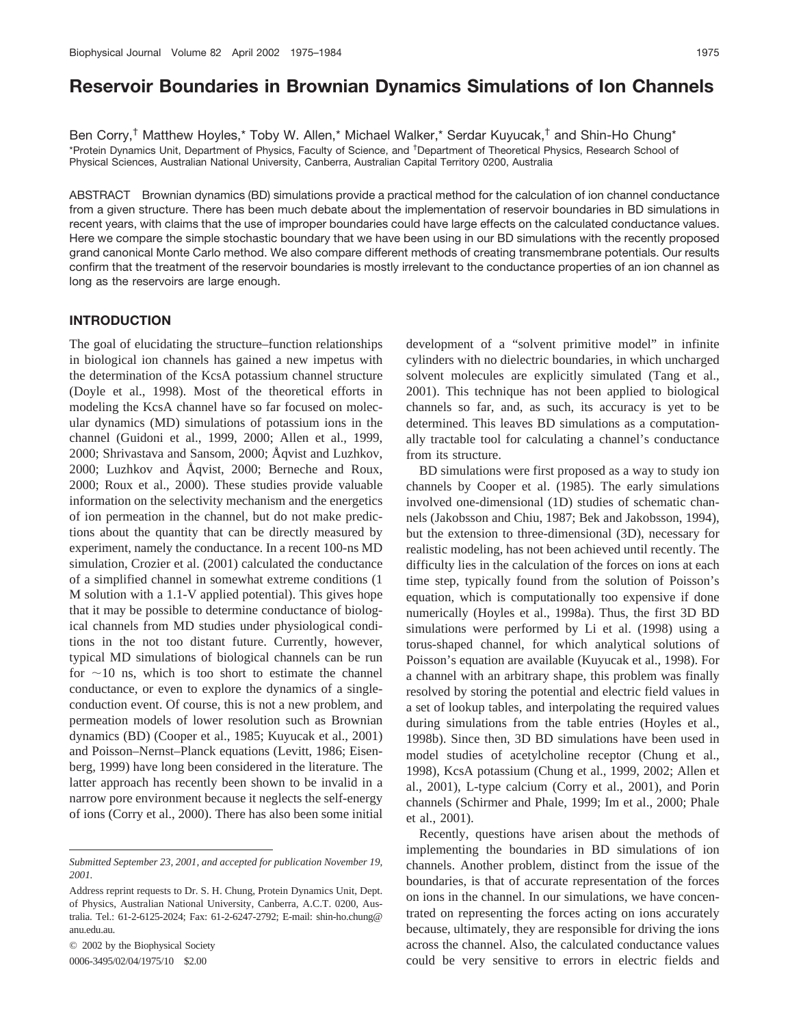# **Reservoir Boundaries in Brownian Dynamics Simulations of Ion Channels**

Ben Corry,† Matthew Hoyles,\* Toby W. Allen,\* Michael Walker,\* Serdar Kuyucak,† and Shin-Ho Chung\* \*Protein Dynamics Unit, Department of Physics, Faculty of Science, and † Department of Theoretical Physics, Research School of Physical Sciences, Australian National University, Canberra, Australian Capital Territory 0200, Australia

ABSTRACT Brownian dynamics (BD) simulations provide a practical method for the calculation of ion channel conductance from a given structure. There has been much debate about the implementation of reservoir boundaries in BD simulations in recent years, with claims that the use of improper boundaries could have large effects on the calculated conductance values. Here we compare the simple stochastic boundary that we have been using in our BD simulations with the recently proposed grand canonical Monte Carlo method. We also compare different methods of creating transmembrane potentials. Our results confirm that the treatment of the reservoir boundaries is mostly irrelevant to the conductance properties of an ion channel as long as the reservoirs are large enough.

### **INTRODUCTION**

The goal of elucidating the structure–function relationships in biological ion channels has gained a new impetus with the determination of the KcsA potassium channel structure (Doyle et al., 1998). Most of the theoretical efforts in modeling the KcsA channel have so far focused on molecular dynamics (MD) simulations of potassium ions in the channel (Guidoni et al., 1999, 2000; Allen et al., 1999, 2000; Shrivastava and Sansom, 2000; Åqvist and Luzhkov, 2000; Luzhkov and Åqvist, 2000; Berneche and Roux, 2000; Roux et al., 2000). These studies provide valuable information on the selectivity mechanism and the energetics of ion permeation in the channel, but do not make predictions about the quantity that can be directly measured by experiment, namely the conductance. In a recent 100-ns MD simulation, Crozier et al. (2001) calculated the conductance of a simplified channel in somewhat extreme conditions (1 M solution with a 1.1-V applied potential). This gives hope that it may be possible to determine conductance of biological channels from MD studies under physiological conditions in the not too distant future. Currently, however, typical MD simulations of biological channels can be run for  $\sim$ 10 ns, which is too short to estimate the channel conductance, or even to explore the dynamics of a singleconduction event. Of course, this is not a new problem, and permeation models of lower resolution such as Brownian dynamics (BD) (Cooper et al., 1985; Kuyucak et al., 2001) and Poisson–Nernst–Planck equations (Levitt, 1986; Eisenberg, 1999) have long been considered in the literature. The latter approach has recently been shown to be invalid in a narrow pore environment because it neglects the self-energy of ions (Corry et al., 2000). There has also been some initial

© 2002 by the Biophysical Society 0006-3495/02/04/1975/10 \$2.00

development of a "solvent primitive model" in infinite cylinders with no dielectric boundaries, in which uncharged solvent molecules are explicitly simulated (Tang et al., 2001). This technique has not been applied to biological channels so far, and, as such, its accuracy is yet to be determined. This leaves BD simulations as a computationally tractable tool for calculating a channel's conductance from its structure.

BD simulations were first proposed as a way to study ion channels by Cooper et al. (1985). The early simulations involved one-dimensional (1D) studies of schematic channels (Jakobsson and Chiu, 1987; Bek and Jakobsson, 1994), but the extension to three-dimensional (3D), necessary for realistic modeling, has not been achieved until recently. The difficulty lies in the calculation of the forces on ions at each time step, typically found from the solution of Poisson's equation, which is computationally too expensive if done numerically (Hoyles et al., 1998a). Thus, the first 3D BD simulations were performed by Li et al. (1998) using a torus-shaped channel, for which analytical solutions of Poisson's equation are available (Kuyucak et al., 1998). For a channel with an arbitrary shape, this problem was finally resolved by storing the potential and electric field values in a set of lookup tables, and interpolating the required values during simulations from the table entries (Hoyles et al., 1998b). Since then, 3D BD simulations have been used in model studies of acetylcholine receptor (Chung et al., 1998), KcsA potassium (Chung et al., 1999, 2002; Allen et al., 2001), L-type calcium (Corry et al., 2001), and Porin channels (Schirmer and Phale, 1999; Im et al., 2000; Phale et al., 2001).

Recently, questions have arisen about the methods of implementing the boundaries in BD simulations of ion channels. Another problem, distinct from the issue of the boundaries, is that of accurate representation of the forces on ions in the channel. In our simulations, we have concentrated on representing the forces acting on ions accurately because, ultimately, they are responsible for driving the ions across the channel. Also, the calculated conductance values could be very sensitive to errors in electric fields and

*Submitted September 23, 2001, and accepted for publication November 19, 2001.*

Address reprint requests to Dr. S. H. Chung, Protein Dynamics Unit, Dept. of Physics, Australian National University, Canberra, A.C.T. 0200, Australia. Tel.: 61-2-6125-2024; Fax: 61-2-6247-2792; E-mail: shin-ho.chung@ anu.edu.au.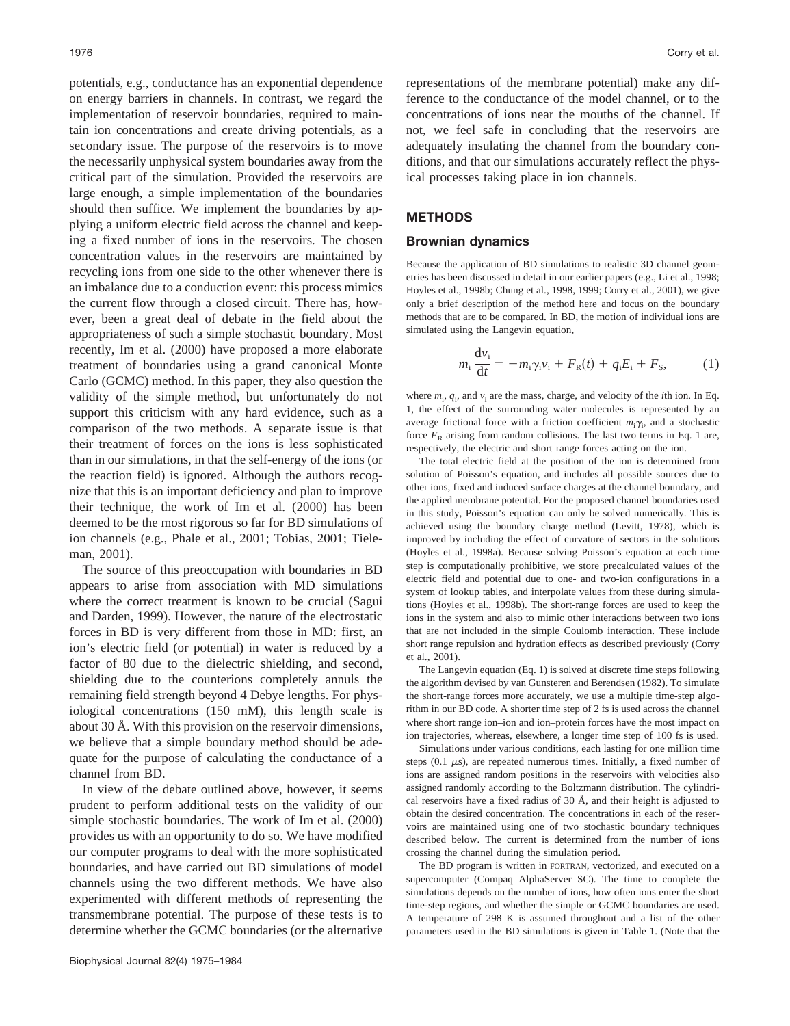potentials, e.g., conductance has an exponential dependence on energy barriers in channels. In contrast, we regard the implementation of reservoir boundaries, required to maintain ion concentrations and create driving potentials, as a secondary issue. The purpose of the reservoirs is to move the necessarily unphysical system boundaries away from the critical part of the simulation. Provided the reservoirs are large enough, a simple implementation of the boundaries should then suffice. We implement the boundaries by applying a uniform electric field across the channel and keeping a fixed number of ions in the reservoirs. The chosen concentration values in the reservoirs are maintained by recycling ions from one side to the other whenever there is an imbalance due to a conduction event: this process mimics the current flow through a closed circuit. There has, however, been a great deal of debate in the field about the appropriateness of such a simple stochastic boundary. Most recently, Im et al. (2000) have proposed a more elaborate treatment of boundaries using a grand canonical Monte Carlo (GCMC) method. In this paper, they also question the validity of the simple method, but unfortunately do not support this criticism with any hard evidence, such as a comparison of the two methods. A separate issue is that their treatment of forces on the ions is less sophisticated than in our simulations, in that the self-energy of the ions (or the reaction field) is ignored. Although the authors recognize that this is an important deficiency and plan to improve their technique, the work of Im et al. (2000) has been deemed to be the most rigorous so far for BD simulations of ion channels (e.g., Phale et al., 2001; Tobias, 2001; Tieleman, 2001).

The source of this preoccupation with boundaries in BD appears to arise from association with MD simulations where the correct treatment is known to be crucial (Sagui and Darden, 1999). However, the nature of the electrostatic forces in BD is very different from those in MD: first, an ion's electric field (or potential) in water is reduced by a factor of 80 due to the dielectric shielding, and second, shielding due to the counterions completely annuls the remaining field strength beyond 4 Debye lengths. For physiological concentrations (150 mM), this length scale is about 30 Å. With this provision on the reservoir dimensions, we believe that a simple boundary method should be adequate for the purpose of calculating the conductance of a channel from BD.

In view of the debate outlined above, however, it seems prudent to perform additional tests on the validity of our simple stochastic boundaries. The work of Im et al. (2000) provides us with an opportunity to do so. We have modified our computer programs to deal with the more sophisticated boundaries, and have carried out BD simulations of model channels using the two different methods. We have also experimented with different methods of representing the transmembrane potential. The purpose of these tests is to determine whether the GCMC boundaries (or the alternative

representations of the membrane potential) make any difference to the conductance of the model channel, or to the concentrations of ions near the mouths of the channel. If not, we feel safe in concluding that the reservoirs are adequately insulating the channel from the boundary conditions, and that our simulations accurately reflect the physical processes taking place in ion channels.

## **METHODS**

### **Brownian dynamics**

Because the application of BD simulations to realistic 3D channel geometries has been discussed in detail in our earlier papers (e.g., Li et al., 1998; Hoyles et al., 1998b; Chung et al., 1998, 1999; Corry et al., 2001), we give only a brief description of the method here and focus on the boundary methods that are to be compared. In BD, the motion of individual ions are simulated using the Langevin equation,

$$
m_{\rm i} \frac{\mathrm{d}v_{\rm i}}{\mathrm{d}t} = -m_{\rm i} \gamma_{\rm i} v_{\rm i} + F_{\rm R}(t) + q_{\rm i} E_{\rm i} + F_{\rm S},\tag{1}
$$

where  $m_i$ ,  $q_i$ , and  $v_i$  are the mass, charge, and velocity of the *i*th ion. In Eq. 1, the effect of the surrounding water molecules is represented by an average frictional force with a friction coefficient  $m_i \gamma_i$ , and a stochastic force  $F<sub>R</sub>$  arising from random collisions. The last two terms in Eq. 1 are, respectively, the electric and short range forces acting on the ion.

The total electric field at the position of the ion is determined from solution of Poisson's equation, and includes all possible sources due to other ions, fixed and induced surface charges at the channel boundary, and the applied membrane potential. For the proposed channel boundaries used in this study, Poisson's equation can only be solved numerically. This is achieved using the boundary charge method (Levitt, 1978), which is improved by including the effect of curvature of sectors in the solutions (Hoyles et al., 1998a). Because solving Poisson's equation at each time step is computationally prohibitive, we store precalculated values of the electric field and potential due to one- and two-ion configurations in a system of lookup tables, and interpolate values from these during simulations (Hoyles et al., 1998b). The short-range forces are used to keep the ions in the system and also to mimic other interactions between two ions that are not included in the simple Coulomb interaction. These include short range repulsion and hydration effects as described previously (Corry et al., 2001).

The Langevin equation (Eq. 1) is solved at discrete time steps following the algorithm devised by van Gunsteren and Berendsen (1982). To simulate the short-range forces more accurately, we use a multiple time-step algorithm in our BD code. A shorter time step of 2 fs is used across the channel where short range ion–ion and ion–protein forces have the most impact on ion trajectories, whereas, elsewhere, a longer time step of 100 fs is used.

Simulations under various conditions, each lasting for one million time steps  $(0.1 \mu s)$ , are repeated numerous times. Initially, a fixed number of ions are assigned random positions in the reservoirs with velocities also assigned randomly according to the Boltzmann distribution. The cylindrical reservoirs have a fixed radius of 30 Å, and their height is adjusted to obtain the desired concentration. The concentrations in each of the reservoirs are maintained using one of two stochastic boundary techniques described below. The current is determined from the number of ions crossing the channel during the simulation period.

The BD program is written in FORTRAN, vectorized, and executed on a supercomputer (Compaq AlphaServer SC). The time to complete the simulations depends on the number of ions, how often ions enter the short time-step regions, and whether the simple or GCMC boundaries are used. A temperature of 298 K is assumed throughout and a list of the other parameters used in the BD simulations is given in Table 1. (Note that the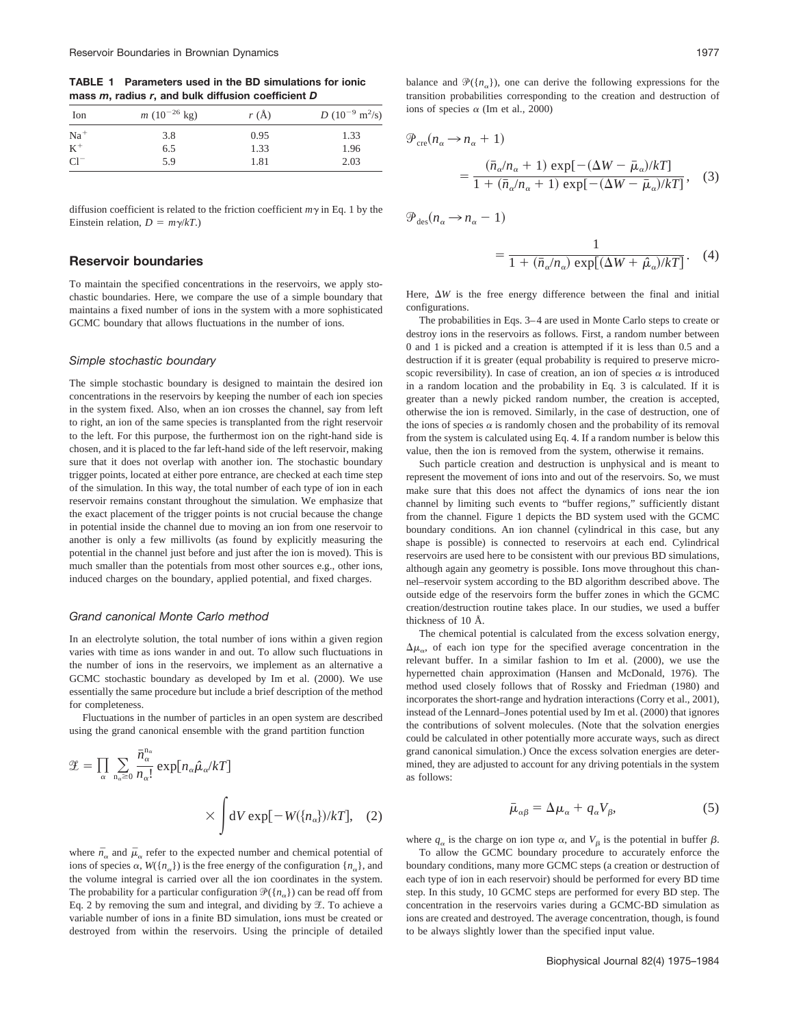**TABLE 1 Parameters used in the BD simulations for ionic mass** *m***, radius** *r***, and bulk diffusion coefficient** *D*

| Ion      | $m(10^{-26}$ kg) | r(A) | $D(10^{-9} \text{ m}^2/\text{s})$ |
|----------|------------------|------|-----------------------------------|
| $Na+$    | 3.8              | 0.95 | 1.33                              |
| $K^+$    | 6.5              | 1.33 | 1.96                              |
| $Cl^{-}$ | 5.9              | 1.81 | 2.03                              |

diffusion coefficient is related to the friction coefficient  $m\gamma$  in Eq. 1 by the Einstein relation,  $D = m\gamma/kT$ .)

### **Reservoir boundaries**

To maintain the specified concentrations in the reservoirs, we apply stochastic boundaries. Here, we compare the use of a simple boundary that maintains a fixed number of ions in the system with a more sophisticated GCMC boundary that allows fluctuations in the number of ions.

#### *Simple stochastic boundary*

The simple stochastic boundary is designed to maintain the desired ion concentrations in the reservoirs by keeping the number of each ion species in the system fixed. Also, when an ion crosses the channel, say from left to right, an ion of the same species is transplanted from the right reservoir to the left. For this purpose, the furthermost ion on the right-hand side is chosen, and it is placed to the far left-hand side of the left reservoir, making sure that it does not overlap with another ion. The stochastic boundary trigger points, located at either pore entrance, are checked at each time step of the simulation. In this way, the total number of each type of ion in each reservoir remains constant throughout the simulation. We emphasize that the exact placement of the trigger points is not crucial because the change in potential inside the channel due to moving an ion from one reservoir to another is only a few millivolts (as found by explicitly measuring the potential in the channel just before and just after the ion is moved). This is much smaller than the potentials from most other sources e.g., other ions, induced charges on the boundary, applied potential, and fixed charges.

#### *Grand canonical Monte Carlo method*

In an electrolyte solution, the total number of ions within a given region varies with time as ions wander in and out. To allow such fluctuations in the number of ions in the reservoirs, we implement as an alternative a GCMC stochastic boundary as developed by Im et al. (2000). We use essentially the same procedure but include a brief description of the method for completeness.

Fluctuations in the number of particles in an open system are described using the grand canonical ensemble with the grand partition function

$$
\mathscr{Z} = \prod_{\alpha} \sum_{n_{\alpha} \ge 0} \frac{\bar{n}_{\alpha}^{n_{\alpha}}}{n_{\alpha}!} \exp[n_{\alpha} \hat{\mu}_{\alpha}/k] \times \int dV \exp[-W(\{n_{\alpha}\})/k], \quad (2)
$$

where  $\bar{n}_{\alpha}$  and  $\bar{\mu}_{\alpha}$  refer to the expected number and chemical potential of ions of species  $\alpha$ ,  $W({n_{\alpha}})$  is the free energy of the configuration  ${n_{\alpha}}$ , and the volume integral is carried over all the ion coordinates in the system. The probability for a particular configuration  $\mathcal{P}(\lbrace n_{\alpha} \rbrace)$  can be read off from Eq. 2 by removing the sum and integral, and dividing by  $\mathcal{L}$ . To achieve a variable number of ions in a finite BD simulation, ions must be created or destroyed from within the reservoirs. Using the principle of detailed

balance and  $\mathcal{P}({n_{\alpha}})$ , one can derive the following expressions for the transition probabilities corresponding to the creation and destruction of ions of species  $\alpha$  (Im et al., 2000)

$$
\mathcal{P}_{\text{cre}}(n_{\alpha} \to n_{\alpha} + 1)
$$
  
= 
$$
\frac{(\bar{n}_{\alpha}/n_{\alpha} + 1) \exp[-(\Delta W - \bar{\mu}_{\alpha})/kT]}{1 + (\bar{n}_{\alpha}/n_{\alpha} + 1) \exp[-(\Delta W - \bar{\mu}_{\alpha})/kT]},
$$
 (3)

$$
\begin{aligned} \n\det(n_{\alpha} \to n_{\alpha} - 1) \\
= \frac{1}{1 + (\overline{n} / n) \exp[(\Lambda W)]}\n\end{aligned}
$$

 $\mathscr{P}_{\scriptscriptstyle{\text{dec}}}$ 

$$
= \frac{1}{1 + (\bar{n}_{\alpha}/n_{\alpha}) \exp[(\Delta W + \hat{\mu}_{\alpha})/kT]}.
$$
 (4)

Here,  $\Delta W$  is the free energy difference between the final and initial configurations.

The probabilities in Eqs. 3–4 are used in Monte Carlo steps to create or destroy ions in the reservoirs as follows. First, a random number between 0 and 1 is picked and a creation is attempted if it is less than 0.5 and a destruction if it is greater (equal probability is required to preserve microscopic reversibility). In case of creation, an ion of species  $\alpha$  is introduced in a random location and the probability in Eq. 3 is calculated. If it is greater than a newly picked random number, the creation is accepted, otherwise the ion is removed. Similarly, in the case of destruction, one of the ions of species  $\alpha$  is randomly chosen and the probability of its removal from the system is calculated using Eq. 4. If a random number is below this value, then the ion is removed from the system, otherwise it remains.

Such particle creation and destruction is unphysical and is meant to represent the movement of ions into and out of the reservoirs. So, we must make sure that this does not affect the dynamics of ions near the ion channel by limiting such events to "buffer regions," sufficiently distant from the channel. Figure 1 depicts the BD system used with the GCMC boundary conditions. An ion channel (cylindrical in this case, but any shape is possible) is connected to reservoirs at each end. Cylindrical reservoirs are used here to be consistent with our previous BD simulations, although again any geometry is possible. Ions move throughout this channel–reservoir system according to the BD algorithm described above. The outside edge of the reservoirs form the buffer zones in which the GCMC creation/destruction routine takes place. In our studies, we used a buffer thickness of 10 Å.

The chemical potential is calculated from the excess solvation energy,  $\Delta\mu_{\alpha}$ , of each ion type for the specified average concentration in the relevant buffer. In a similar fashion to Im et al. (2000), we use the hypernetted chain approximation (Hansen and McDonald, 1976). The method used closely follows that of Rossky and Friedman (1980) and incorporates the short-range and hydration interactions (Corry et al., 2001), instead of the Lennard–Jones potential used by Im et al. (2000) that ignores the contributions of solvent molecules. (Note that the solvation energies could be calculated in other potentially more accurate ways, such as direct grand canonical simulation.) Once the excess solvation energies are determined, they are adjusted to account for any driving potentials in the system as follows:

$$
\bar{\mu}_{\alpha\beta} = \Delta\mu_{\alpha} + q_{\alpha}V_{\beta},\tag{5}
$$

where  $q_\alpha$  is the charge on ion type  $\alpha$ , and  $V_\beta$  is the potential in buffer  $\beta$ . To allow the GCMC boundary procedure to accurately enforce the boundary conditions, many more GCMC steps (a creation or destruction of each type of ion in each reservoir) should be performed for every BD time step. In this study, 10 GCMC steps are performed for every BD step. The concentration in the reservoirs varies during a GCMC-BD simulation as ions are created and destroyed. The average concentration, though, is found to be always slightly lower than the specified input value.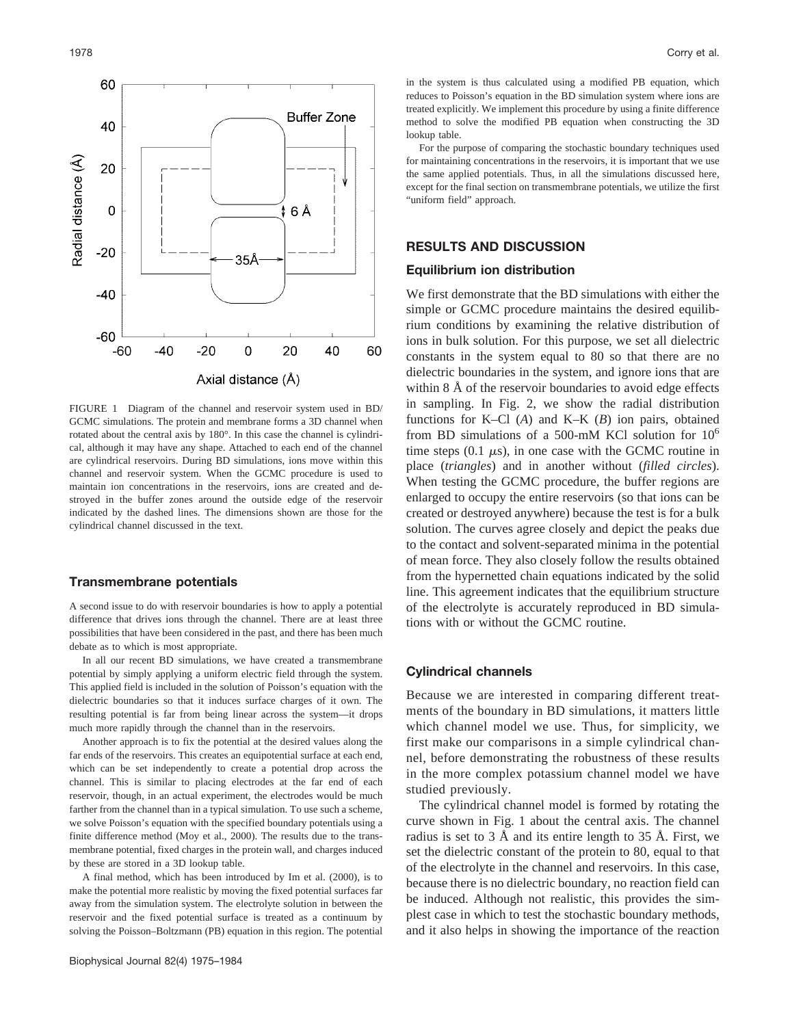

FIGURE 1 Diagram of the channel and reservoir system used in BD/ GCMC simulations. The protein and membrane forms a 3D channel when rotated about the central axis by 180°. In this case the channel is cylindrical, although it may have any shape. Attached to each end of the channel are cylindrical reservoirs. During BD simulations, ions move within this channel and reservoir system. When the GCMC procedure is used to maintain ion concentrations in the reservoirs, ions are created and destroyed in the buffer zones around the outside edge of the reservoir indicated by the dashed lines. The dimensions shown are those for the cylindrical channel discussed in the text.

# **Transmembrane potentials**

A second issue to do with reservoir boundaries is how to apply a potential difference that drives ions through the channel. There are at least three possibilities that have been considered in the past, and there has been much debate as to which is most appropriate.

In all our recent BD simulations, we have created a transmembrane potential by simply applying a uniform electric field through the system. This applied field is included in the solution of Poisson's equation with the dielectric boundaries so that it induces surface charges of it own. The resulting potential is far from being linear across the system—it drops much more rapidly through the channel than in the reservoirs.

Another approach is to fix the potential at the desired values along the far ends of the reservoirs. This creates an equipotential surface at each end, which can be set independently to create a potential drop across the channel. This is similar to placing electrodes at the far end of each reservoir, though, in an actual experiment, the electrodes would be much farther from the channel than in a typical simulation. To use such a scheme, we solve Poisson's equation with the specified boundary potentials using a finite difference method (Moy et al., 2000). The results due to the transmembrane potential, fixed charges in the protein wall, and charges induced by these are stored in a 3D lookup table.

A final method, which has been introduced by Im et al. (2000), is to make the potential more realistic by moving the fixed potential surfaces far away from the simulation system. The electrolyte solution in between the reservoir and the fixed potential surface is treated as a continuum by solving the Poisson–Boltzmann (PB) equation in this region. The potential

in the system is thus calculated using a modified PB equation, which reduces to Poisson's equation in the BD simulation system where ions are treated explicitly. We implement this procedure by using a finite difference method to solve the modified PB equation when constructing the 3D lookup table.

For the purpose of comparing the stochastic boundary techniques used for maintaining concentrations in the reservoirs, it is important that we use the same applied potentials. Thus, in all the simulations discussed here, except for the final section on transmembrane potentials, we utilize the first "uniform field" approach.

# **RESULTS AND DISCUSSION**

# **Equilibrium ion distribution**

We first demonstrate that the BD simulations with either the simple or GCMC procedure maintains the desired equilibrium conditions by examining the relative distribution of ions in bulk solution. For this purpose, we set all dielectric constants in the system equal to 80 so that there are no dielectric boundaries in the system, and ignore ions that are within 8 A of the reservoir boundaries to avoid edge effects in sampling. In Fig. 2, we show the radial distribution functions for K–Cl (*A*) and K–K (*B*) ion pairs, obtained from BD simulations of a 500-mM KCl solution for  $10^6$ time steps  $(0.1 \mu s)$ , in one case with the GCMC routine in place (*triangles*) and in another without (*filled circles*). When testing the GCMC procedure, the buffer regions are enlarged to occupy the entire reservoirs (so that ions can be created or destroyed anywhere) because the test is for a bulk solution. The curves agree closely and depict the peaks due to the contact and solvent-separated minima in the potential of mean force. They also closely follow the results obtained from the hypernetted chain equations indicated by the solid line. This agreement indicates that the equilibrium structure of the electrolyte is accurately reproduced in BD simulations with or without the GCMC routine.

### **Cylindrical channels**

Because we are interested in comparing different treatments of the boundary in BD simulations, it matters little which channel model we use. Thus, for simplicity, we first make our comparisons in a simple cylindrical channel, before demonstrating the robustness of these results in the more complex potassium channel model we have studied previously.

The cylindrical channel model is formed by rotating the curve shown in Fig. 1 about the central axis. The channel radius is set to 3 Å and its entire length to 35 Å. First, we set the dielectric constant of the protein to 80, equal to that of the electrolyte in the channel and reservoirs. In this case, because there is no dielectric boundary, no reaction field can be induced. Although not realistic, this provides the simplest case in which to test the stochastic boundary methods, and it also helps in showing the importance of the reaction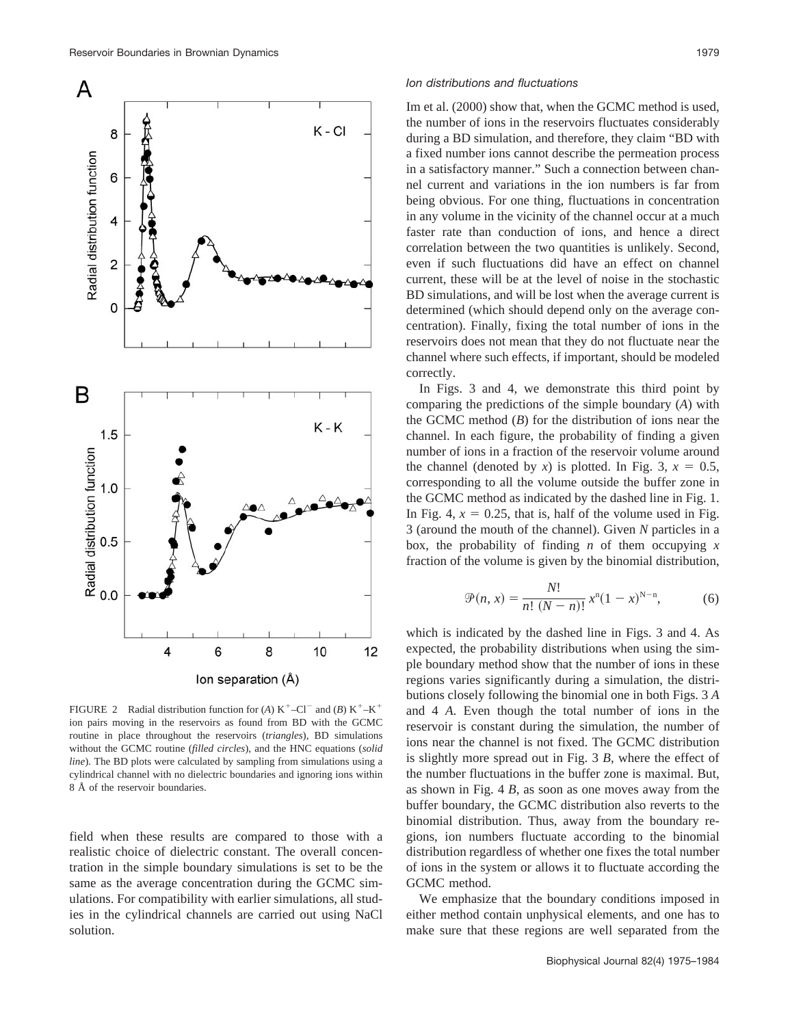

FIGURE 2 Radial distribution function for (A)  $K^+$ -Cl<sup>-</sup> and (B)  $K^+$ -K<sup>+</sup> ion pairs moving in the reservoirs as found from BD with the GCMC routine in place throughout the reservoirs (*triangles*), BD simulations without the GCMC routine (*filled circles*), and the HNC equations (*solid line*). The BD plots were calculated by sampling from simulations using a cylindrical channel with no dielectric boundaries and ignoring ions within 8 Å of the reservoir boundaries.

field when these results are compared to those with a realistic choice of dielectric constant. The overall concentration in the simple boundary simulations is set to be the same as the average concentration during the GCMC simulations. For compatibility with earlier simulations, all studies in the cylindrical channels are carried out using NaCl solution.

#### *Ion distributions and fluctuations*

Im et al. (2000) show that, when the GCMC method is used, the number of ions in the reservoirs fluctuates considerably during a BD simulation, and therefore, they claim "BD with a fixed number ions cannot describe the permeation process in a satisfactory manner." Such a connection between channel current and variations in the ion numbers is far from being obvious. For one thing, fluctuations in concentration in any volume in the vicinity of the channel occur at a much faster rate than conduction of ions, and hence a direct correlation between the two quantities is unlikely. Second, even if such fluctuations did have an effect on channel current, these will be at the level of noise in the stochastic BD simulations, and will be lost when the average current is determined (which should depend only on the average concentration). Finally, fixing the total number of ions in the reservoirs does not mean that they do not fluctuate near the channel where such effects, if important, should be modeled correctly.

In Figs. 3 and 4, we demonstrate this third point by comparing the predictions of the simple boundary (*A*) with the GCMC method (*B*) for the distribution of ions near the channel. In each figure, the probability of finding a given number of ions in a fraction of the reservoir volume around the channel (denoted by *x*) is plotted. In Fig. 3,  $x = 0.5$ , corresponding to all the volume outside the buffer zone in the GCMC method as indicated by the dashed line in Fig. 1. In Fig. 4,  $x = 0.25$ , that is, half of the volume used in Fig. 3 (around the mouth of the channel). Given *N* particles in a box, the probability of finding *n* of them occupying *x* fraction of the volume is given by the binomial distribution,

$$
\mathcal{P}(n, x) = \frac{N!}{n! (N-n)!} x^{n} (1-x)^{N-n}, \tag{6}
$$

which is indicated by the dashed line in Figs. 3 and 4. As expected, the probability distributions when using the simple boundary method show that the number of ions in these regions varies significantly during a simulation, the distributions closely following the binomial one in both Figs. 3 *A* and 4 *A*. Even though the total number of ions in the reservoir is constant during the simulation, the number of ions near the channel is not fixed. The GCMC distribution is slightly more spread out in Fig. 3 *B*, where the effect of the number fluctuations in the buffer zone is maximal. But, as shown in Fig. 4 *B*, as soon as one moves away from the buffer boundary, the GCMC distribution also reverts to the binomial distribution. Thus, away from the boundary regions, ion numbers fluctuate according to the binomial distribution regardless of whether one fixes the total number of ions in the system or allows it to fluctuate according the GCMC method.

We emphasize that the boundary conditions imposed in either method contain unphysical elements, and one has to make sure that these regions are well separated from the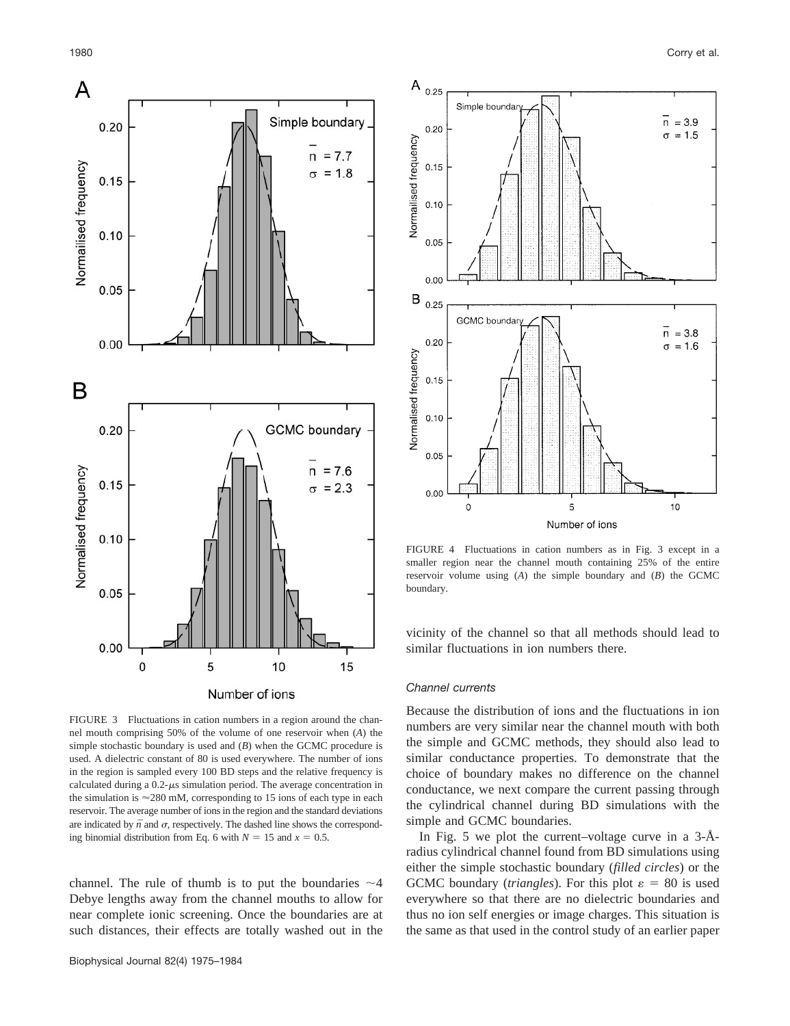

Number of ions

10

15

FIGURE 3 Fluctuations in cation numbers in a region around the channel mouth comprising 50% of the volume of one reservoir when (*A*) the simple stochastic boundary is used and (*B*) when the GCMC procedure is used. A dielectric constant of 80 is used everywhere. The number of ions in the region is sampled every 100 BD steps and the relative frequency is calculated during a  $0.2 - \mu s$  simulation period. The average concentration in the simulation is  $\approx$  280 mM, corresponding to 15 ions of each type in each reservoir. The average number of ions in the region and the standard deviations are indicated by  $\bar{n}$  and  $\sigma$ , respectively. The dashed line shows the corresponding binomial distribution from Eq. 6 with  $N = 15$  and  $x = 0.5$ .

5

0

channel. The rule of thumb is to put the boundaries  $\sim$  4 Debye lengths away from the channel mouths to allow for near complete ionic screening. Once the boundaries are at such distances, their effects are totally washed out in the



FIGURE 4 Fluctuations in cation numbers as in Fig. 3 except in a smaller region near the channel mouth containing 25% of the entire reservoir volume using (*A*) the simple boundary and (*B*) the GCMC boundary.

vicinity of the channel so that all methods should lead to similar fluctuations in ion numbers there.

### *Channel currents*

Because the distribution of ions and the fluctuations in ion numbers are very similar near the channel mouth with both the simple and GCMC methods, they should also lead to similar conductance properties. To demonstrate that the choice of boundary makes no difference on the channel conductance, we next compare the current passing through the cylindrical channel during BD simulations with the simple and GCMC boundaries.

In Fig. 5 we plot the current–voltage curve in a 3-Åradius cylindrical channel found from BD simulations using either the simple stochastic boundary (*filled circles*) or the GCMC boundary (*triangles*). For this plot  $\varepsilon = 80$  is used everywhere so that there are no dielectric boundaries and thus no ion self energies or image charges. This situation is the same as that used in the control study of an earlier paper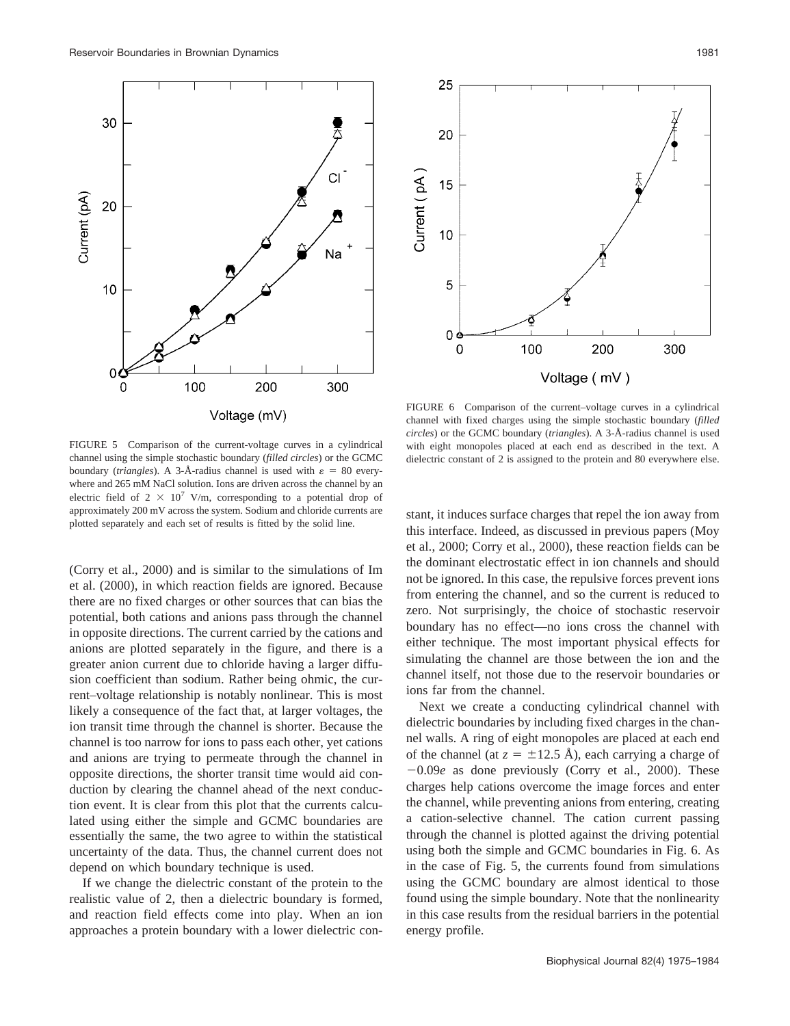



FIGURE 5 Comparison of the current-voltage curves in a cylindrical channel using the simple stochastic boundary (*filled circles*) or the GCMC boundary (*triangles*). A 3-Å-radius channel is used with  $\varepsilon = 80$  everywhere and 265 mM NaCl solution. Ions are driven across the channel by an electric field of  $2 \times 10^7$  V/m, corresponding to a potential drop of approximately 200 mV across the system. Sodium and chloride currents are plotted separately and each set of results is fitted by the solid line.

(Corry et al., 2000) and is similar to the simulations of Im et al. (2000), in which reaction fields are ignored. Because there are no fixed charges or other sources that can bias the potential, both cations and anions pass through the channel in opposite directions. The current carried by the cations and anions are plotted separately in the figure, and there is a greater anion current due to chloride having a larger diffusion coefficient than sodium. Rather being ohmic, the current–voltage relationship is notably nonlinear. This is most likely a consequence of the fact that, at larger voltages, the ion transit time through the channel is shorter. Because the channel is too narrow for ions to pass each other, yet cations and anions are trying to permeate through the channel in opposite directions, the shorter transit time would aid conduction by clearing the channel ahead of the next conduction event. It is clear from this plot that the currents calculated using either the simple and GCMC boundaries are essentially the same, the two agree to within the statistical uncertainty of the data. Thus, the channel current does not depend on which boundary technique is used.

If we change the dielectric constant of the protein to the realistic value of 2, then a dielectric boundary is formed, and reaction field effects come into play. When an ion approaches a protein boundary with a lower dielectric con-

FIGURE 6 Comparison of the current–voltage curves in a cylindrical channel with fixed charges using the simple stochastic boundary (*filled circles*) or the GCMC boundary (*triangles*). A 3-Å-radius channel is used with eight monopoles placed at each end as described in the text. A dielectric constant of 2 is assigned to the protein and 80 everywhere else.

stant, it induces surface charges that repel the ion away from this interface. Indeed, as discussed in previous papers (Moy et al., 2000; Corry et al., 2000), these reaction fields can be the dominant electrostatic effect in ion channels and should not be ignored. In this case, the repulsive forces prevent ions from entering the channel, and so the current is reduced to zero. Not surprisingly, the choice of stochastic reservoir boundary has no effect—no ions cross the channel with either technique. The most important physical effects for simulating the channel are those between the ion and the channel itself, not those due to the reservoir boundaries or ions far from the channel.

Next we create a conducting cylindrical channel with dielectric boundaries by including fixed charges in the channel walls. A ring of eight monopoles are placed at each end of the channel (at  $z = \pm 12.5$  Å), each carrying a charge of -0.09*e* as done previously (Corry et al., 2000). These charges help cations overcome the image forces and enter the channel, while preventing anions from entering, creating a cation-selective channel. The cation current passing through the channel is plotted against the driving potential using both the simple and GCMC boundaries in Fig. 6. As in the case of Fig. 5, the currents found from simulations using the GCMC boundary are almost identical to those found using the simple boundary. Note that the nonlinearity in this case results from the residual barriers in the potential energy profile.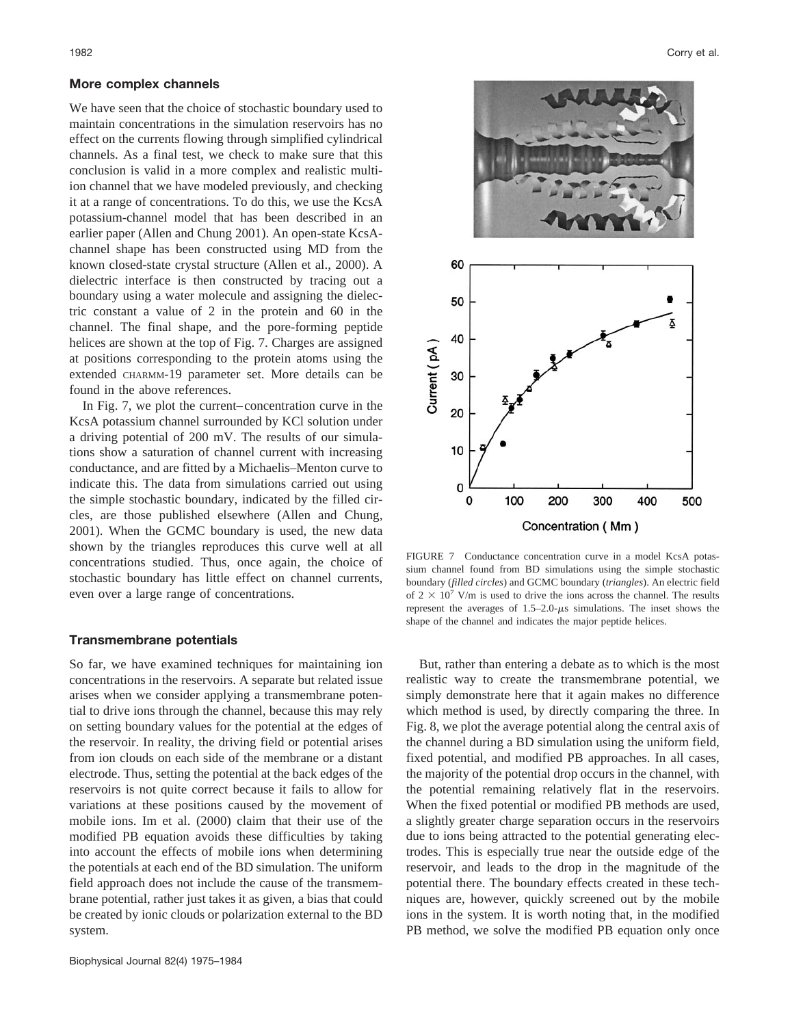#### **More complex channels**

We have seen that the choice of stochastic boundary used to maintain concentrations in the simulation reservoirs has no effect on the currents flowing through simplified cylindrical channels. As a final test, we check to make sure that this conclusion is valid in a more complex and realistic multiion channel that we have modeled previously, and checking it at a range of concentrations. To do this, we use the KcsA potassium-channel model that has been described in an earlier paper (Allen and Chung 2001). An open-state KcsAchannel shape has been constructed using MD from the known closed-state crystal structure (Allen et al., 2000). A dielectric interface is then constructed by tracing out a boundary using a water molecule and assigning the dielectric constant a value of 2 in the protein and 60 in the channel. The final shape, and the pore-forming peptide helices are shown at the top of Fig. 7. Charges are assigned at positions corresponding to the protein atoms using the extended CHARMM-19 parameter set. More details can be found in the above references.

In Fig. 7, we plot the current–concentration curve in the KcsA potassium channel surrounded by KCl solution under a driving potential of 200 mV. The results of our simulations show a saturation of channel current with increasing conductance, and are fitted by a Michaelis–Menton curve to indicate this. The data from simulations carried out using the simple stochastic boundary, indicated by the filled circles, are those published elsewhere (Allen and Chung, 2001). When the GCMC boundary is used, the new data shown by the triangles reproduces this curve well at all concentrations studied. Thus, once again, the choice of stochastic boundary has little effect on channel currents, even over a large range of concentrations.

#### **Transmembrane potentials**

So far, we have examined techniques for maintaining ion concentrations in the reservoirs. A separate but related issue arises when we consider applying a transmembrane potential to drive ions through the channel, because this may rely on setting boundary values for the potential at the edges of the reservoir. In reality, the driving field or potential arises from ion clouds on each side of the membrane or a distant electrode. Thus, setting the potential at the back edges of the reservoirs is not quite correct because it fails to allow for variations at these positions caused by the movement of mobile ions. Im et al. (2000) claim that their use of the modified PB equation avoids these difficulties by taking into account the effects of mobile ions when determining the potentials at each end of the BD simulation. The uniform field approach does not include the cause of the transmembrane potential, rather just takes it as given, a bias that could be created by ionic clouds or polarization external to the BD system.





FIGURE 7 Conductance concentration curve in a model KcsA potassium channel found from BD simulations using the simple stochastic boundary (*filled circles*) and GCMC boundary (*triangles*). An electric field of  $2 \times 10^7$  V/m is used to drive the ions across the channel. The results represent the averages of  $1.5-2.0-\mu s$  simulations. The inset shows the shape of the channel and indicates the major peptide helices.

But, rather than entering a debate as to which is the most realistic way to create the transmembrane potential, we simply demonstrate here that it again makes no difference which method is used, by directly comparing the three. In Fig. 8, we plot the average potential along the central axis of the channel during a BD simulation using the uniform field, fixed potential, and modified PB approaches. In all cases, the majority of the potential drop occurs in the channel, with the potential remaining relatively flat in the reservoirs. When the fixed potential or modified PB methods are used, a slightly greater charge separation occurs in the reservoirs due to ions being attracted to the potential generating electrodes. This is especially true near the outside edge of the reservoir, and leads to the drop in the magnitude of the potential there. The boundary effects created in these techniques are, however, quickly screened out by the mobile ions in the system. It is worth noting that, in the modified PB method, we solve the modified PB equation only once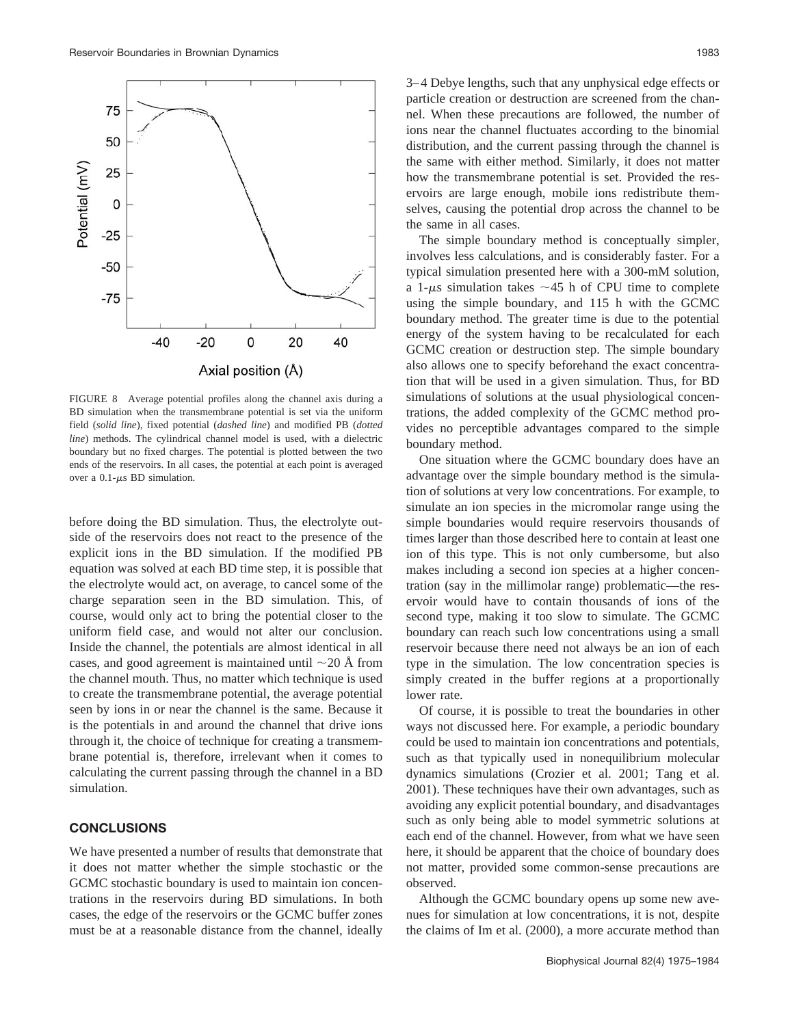

FIGURE 8 Average potential profiles along the channel axis during a BD simulation when the transmembrane potential is set via the uniform field (*solid line*), fixed potential (*dashed line*) and modified PB (*dotted line*) methods. The cylindrical channel model is used, with a dielectric boundary but no fixed charges. The potential is plotted between the two ends of the reservoirs. In all cases, the potential at each point is averaged over a  $0.1 - \mu s$  BD simulation.

before doing the BD simulation. Thus, the electrolyte outside of the reservoirs does not react to the presence of the explicit ions in the BD simulation. If the modified PB equation was solved at each BD time step, it is possible that the electrolyte would act, on average, to cancel some of the charge separation seen in the BD simulation. This, of course, would only act to bring the potential closer to the uniform field case, and would not alter our conclusion. Inside the channel, the potentials are almost identical in all cases, and good agreement is maintained until  $\sim$ 20 Å from the channel mouth. Thus, no matter which technique is used to create the transmembrane potential, the average potential seen by ions in or near the channel is the same. Because it is the potentials in and around the channel that drive ions through it, the choice of technique for creating a transmembrane potential is, therefore, irrelevant when it comes to calculating the current passing through the channel in a BD simulation.

## **CONCLUSIONS**

We have presented a number of results that demonstrate that it does not matter whether the simple stochastic or the GCMC stochastic boundary is used to maintain ion concentrations in the reservoirs during BD simulations. In both cases, the edge of the reservoirs or the GCMC buffer zones must be at a reasonable distance from the channel, ideally

3–4 Debye lengths, such that any unphysical edge effects or particle creation or destruction are screened from the channel. When these precautions are followed, the number of ions near the channel fluctuates according to the binomial distribution, and the current passing through the channel is the same with either method. Similarly, it does not matter how the transmembrane potential is set. Provided the reservoirs are large enough, mobile ions redistribute themselves, causing the potential drop across the channel to be the same in all cases.

The simple boundary method is conceptually simpler, involves less calculations, and is considerably faster. For a typical simulation presented here with a 300-mM solution, a 1- $\mu$ s simulation takes ~45 h of CPU time to complete using the simple boundary, and 115 h with the GCMC boundary method. The greater time is due to the potential energy of the system having to be recalculated for each GCMC creation or destruction step. The simple boundary also allows one to specify beforehand the exact concentration that will be used in a given simulation. Thus, for BD simulations of solutions at the usual physiological concentrations, the added complexity of the GCMC method provides no perceptible advantages compared to the simple boundary method.

One situation where the GCMC boundary does have an advantage over the simple boundary method is the simulation of solutions at very low concentrations. For example, to simulate an ion species in the micromolar range using the simple boundaries would require reservoirs thousands of times larger than those described here to contain at least one ion of this type. This is not only cumbersome, but also makes including a second ion species at a higher concentration (say in the millimolar range) problematic—the reservoir would have to contain thousands of ions of the second type, making it too slow to simulate. The GCMC boundary can reach such low concentrations using a small reservoir because there need not always be an ion of each type in the simulation. The low concentration species is simply created in the buffer regions at a proportionally lower rate.

Of course, it is possible to treat the boundaries in other ways not discussed here. For example, a periodic boundary could be used to maintain ion concentrations and potentials, such as that typically used in nonequilibrium molecular dynamics simulations (Crozier et al. 2001; Tang et al. 2001). These techniques have their own advantages, such as avoiding any explicit potential boundary, and disadvantages such as only being able to model symmetric solutions at each end of the channel. However, from what we have seen here, it should be apparent that the choice of boundary does not matter, provided some common-sense precautions are observed.

Although the GCMC boundary opens up some new avenues for simulation at low concentrations, it is not, despite the claims of Im et al. (2000), a more accurate method than